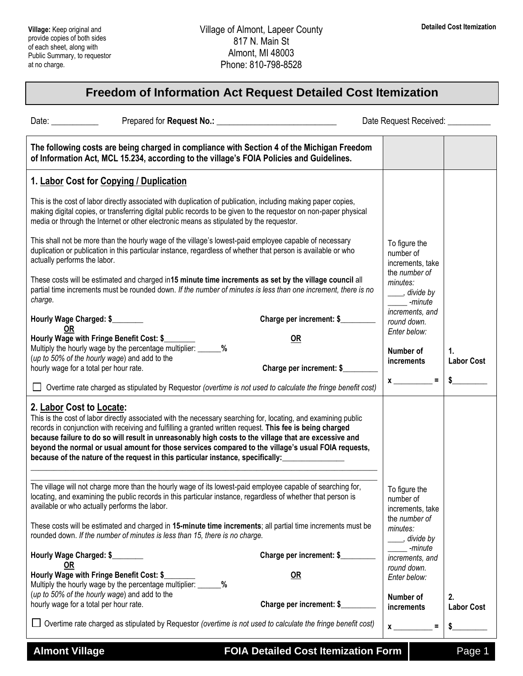## **Freedom of Information Act Request Detailed Cost Itemization**

Date: **Example 20 Prepared for Request No.: No.: Example 20 Prepared for Request Received:**  $\overline{a}$ 

| The following costs are being charged in compliance with Section 4 of the Michigan Freedom<br>of Information Act, MCL 15.234, according to the village's FOIA Policies and Guidelines.                                                                                                                                                                                                                                                                                                                                                                     |                                |                                                                 |                                   |
|------------------------------------------------------------------------------------------------------------------------------------------------------------------------------------------------------------------------------------------------------------------------------------------------------------------------------------------------------------------------------------------------------------------------------------------------------------------------------------------------------------------------------------------------------------|--------------------------------|-----------------------------------------------------------------|-----------------------------------|
| 1. Labor Cost for Copying / Duplication                                                                                                                                                                                                                                                                                                                                                                                                                                                                                                                    |                                |                                                                 |                                   |
| This is the cost of labor directly associated with duplication of publication, including making paper copies,<br>making digital copies, or transferring digital public records to be given to the requestor on non-paper physical<br>media or through the Internet or other electronic means as stipulated by the requestor.                                                                                                                                                                                                                               |                                |                                                                 |                                   |
| This shall not be more than the hourly wage of the village's lowest-paid employee capable of necessary<br>duplication or publication in this particular instance, regardless of whether that person is available or who<br>actually performs the labor.                                                                                                                                                                                                                                                                                                    |                                | To figure the<br>number of<br>increments, take                  |                                   |
| These costs will be estimated and charged in 15 minute time increments as set by the village council all<br>partial time increments must be rounded down. If the number of minutes is less than one increment, there is no<br>charge.                                                                                                                                                                                                                                                                                                                      |                                | the number of<br>minutes:<br>____, divide by<br>-minute         |                                   |
| Hourly Wage Charged: \$                                                                                                                                                                                                                                                                                                                                                                                                                                                                                                                                    | Charge per increment: \$       | increments, and<br>round down.                                  |                                   |
| 0R<br>Hourly Wage with Fringe Benefit Cost: \$<br>Multiply the hourly wage by the percentage multiplier: _____<br>%<br>(up to 50% of the hourly wage) and add to the<br>hourly wage for a total per hour rate.                                                                                                                                                                                                                                                                                                                                             | OR<br>Charge per increment: \$ | Enter below:<br>Number of<br>increments                         | $\mathbf{1}$<br><b>Labor Cost</b> |
| Overtime rate charged as stipulated by Requestor (overtime is not used to calculate the fringe benefit cost)                                                                                                                                                                                                                                                                                                                                                                                                                                               |                                | $x$ <sub>____</sub>                                             | \$                                |
| 2. Labor Cost to Locate:<br>This is the cost of labor directly associated with the necessary searching for, locating, and examining public<br>records in conjunction with receiving and fulfilling a granted written request. This fee is being charged<br>because failure to do so will result in unreasonably high costs to the village that are excessive and<br>beyond the normal or usual amount for those services compared to the village's usual FOIA requests,<br>because of the nature of the request in this particular instance, specifically: |                                |                                                                 |                                   |
| The village will not charge more than the hourly wage of its lowest-paid employee capable of searching for,<br>locating, and examining the public records in this particular instance, regardless of whether that person is<br>available or who actually performs the labor.                                                                                                                                                                                                                                                                               |                                | To figure the<br>number of<br>increments, take<br>the number of |                                   |
| These costs will be estimated and charged in 15-minute time increments; all partial time increments must be<br>rounded down. If the number of minutes is less than 15, there is no charge.                                                                                                                                                                                                                                                                                                                                                                 |                                | minutes:<br>____, divide by                                     |                                   |
| Hourly Wage Charged: \$<br><b>OR</b>                                                                                                                                                                                                                                                                                                                                                                                                                                                                                                                       | Charge per increment: \$       | -minute<br>increments, and                                      |                                   |
| Hourly Wage with Fringe Benefit Cost: \$<br>Multiply the hourly wage by the percentage multiplier: _______%                                                                                                                                                                                                                                                                                                                                                                                                                                                | OR                             | round down.<br>Enter below:                                     |                                   |
| (up to 50% of the hourly wage) and add to the<br>hourly wage for a total per hour rate.                                                                                                                                                                                                                                                                                                                                                                                                                                                                    | Charge per increment: \$       | Number of<br>increments                                         | 2.<br><b>Labor Cost</b>           |
| Overtime rate charged as stipulated by Requestor (overtime is not used to calculate the fringe benefit cost)                                                                                                                                                                                                                                                                                                                                                                                                                                               |                                | $x \overline{\phantom{a}}$<br>$\equiv$                          | $\frac{1}{2}$                     |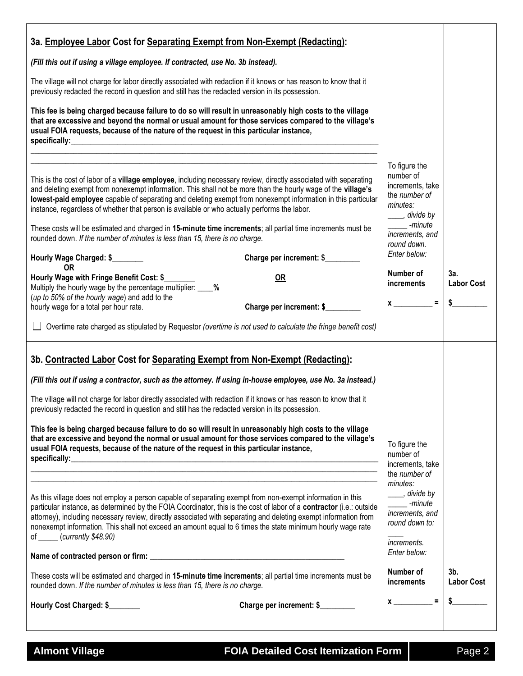| 3a. Employee Labor Cost for Separating Exempt from Non-Exempt (Redacting):                                                                                                                                                                                                                                                                                                                                                                                                                                                                                                                                                                                                                                                                                                                                                                                                                                                                         |                                                                                                                                                                                                      |                                           |
|----------------------------------------------------------------------------------------------------------------------------------------------------------------------------------------------------------------------------------------------------------------------------------------------------------------------------------------------------------------------------------------------------------------------------------------------------------------------------------------------------------------------------------------------------------------------------------------------------------------------------------------------------------------------------------------------------------------------------------------------------------------------------------------------------------------------------------------------------------------------------------------------------------------------------------------------------|------------------------------------------------------------------------------------------------------------------------------------------------------------------------------------------------------|-------------------------------------------|
| (Fill this out if using a village employee. If contracted, use No. 3b instead).                                                                                                                                                                                                                                                                                                                                                                                                                                                                                                                                                                                                                                                                                                                                                                                                                                                                    |                                                                                                                                                                                                      |                                           |
| The village will not charge for labor directly associated with redaction if it knows or has reason to know that it<br>previously redacted the record in question and still has the redacted version in its possession.                                                                                                                                                                                                                                                                                                                                                                                                                                                                                                                                                                                                                                                                                                                             |                                                                                                                                                                                                      |                                           |
| This fee is being charged because failure to do so will result in unreasonably high costs to the village<br>that are excessive and beyond the normal or usual amount for those services compared to the village's<br>usual FOIA requests, because of the nature of the request in this particular instance,<br><u> 1989 - John Stoff, deutscher Stoff, der Stoff, der Stoff, der Stoff, der Stoff, der Stoff, der Stoff, der Sto</u>                                                                                                                                                                                                                                                                                                                                                                                                                                                                                                               |                                                                                                                                                                                                      |                                           |
| This is the cost of labor of a village employee, including necessary review, directly associated with separating<br>and deleting exempt from nonexempt information. This shall not be more than the hourly wage of the village's<br>lowest-paid employee capable of separating and deleting exempt from nonexempt information in this particular<br>instance, regardless of whether that person is available or who actually performs the labor.<br>These costs will be estimated and charged in 15-minute time increments; all partial time increments must be<br>rounded down. If the number of minutes is less than 15, there is no charge.<br>Charge per increment: \$<br>Hourly Wage Charged: \$<br>0R<br>Hourly Wage with Fringe Benefit Cost: \$<br>OR<br>Multiply the hourly wage by the percentage multiplier: _ %<br>(up to 50% of the hourly wage) and add to the<br>Charge per increment: \$<br>hourly wage for a total per hour rate. | To figure the<br>number of<br>increments, take<br>the number of<br>minutes:<br>____, divide by<br>-minute<br>increments, and<br>round down.<br>Enter below:<br>Number of<br>increments<br>$x \sim 1$ | 3a.<br><b>Labor Cost</b><br>$\frac{1}{2}$ |
| Overtime rate charged as stipulated by Requestor (overtime is not used to calculate the fringe benefit cost)                                                                                                                                                                                                                                                                                                                                                                                                                                                                                                                                                                                                                                                                                                                                                                                                                                       |                                                                                                                                                                                                      |                                           |
| 3b. Contracted Labor Cost for Separating Exempt from Non-Exempt (Redacting):<br>(Fill this out if using a contractor, such as the attorney. If using in-house employee, use No. 3a instead.)<br>The village will not charge for labor directly associated with redaction if it knows or has reason to know that it<br>previously redacted the record in question and still has the redacted version in its possession.<br>This fee is being charged because failure to do so will result in unreasonably high costs to the village<br>that are excessive and beyond the normal or usual amount for those services compared to the village's<br>usual FOIA requests, because of the nature of the request in this particular instance,                                                                                                                                                                                                              | To figure the<br>number of<br>increments, take<br>the number of                                                                                                                                      |                                           |
| As this village does not employ a person capable of separating exempt from non-exempt information in this<br>particular instance, as determined by the FOIA Coordinator, this is the cost of labor of a contractor (i.e.: outside<br>attorney), including necessary review, directly associated with separating and deleting exempt information from<br>nonexempt information. This shall not exceed an amount equal to 6 times the state minimum hourly wage rate<br>of $\frac{\text{C} \cdot \text{C} \cdot \text{C}}{\text{C} \cdot \text{C} \cdot \text{C}}$ (currently \$48.90)                                                                                                                                                                                                                                                                                                                                                               | minutes:<br>____, divide by<br>-minute<br>increments, and<br>round down to:<br><i>increments.</i><br>Enter below:<br>Number of                                                                       | $3b$ .                                    |
| These costs will be estimated and charged in 15-minute time increments; all partial time increments must be<br>rounded down. If the number of minutes is less than 15, there is no charge.                                                                                                                                                                                                                                                                                                                                                                                                                                                                                                                                                                                                                                                                                                                                                         | increments                                                                                                                                                                                           | <b>Labor Cost</b>                         |
| Charge per increment: \$<br>Hourly Cost Charged: \$                                                                                                                                                                                                                                                                                                                                                                                                                                                                                                                                                                                                                                                                                                                                                                                                                                                                                                | $\equiv$<br>$\boldsymbol{x}$                                                                                                                                                                         |                                           |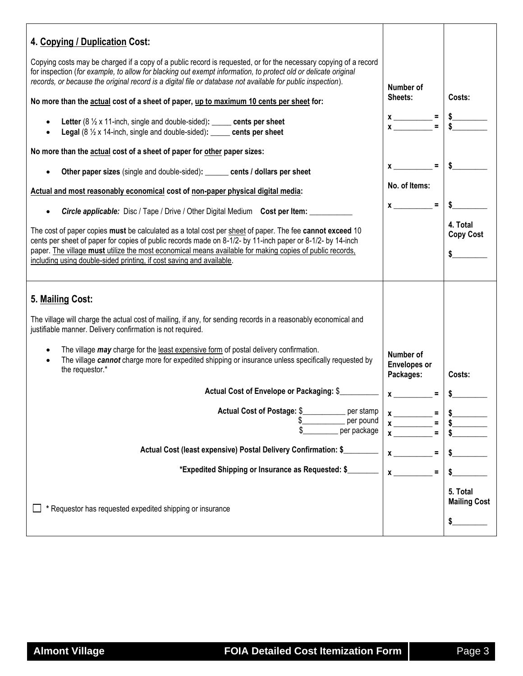| 4. Copying / Duplication Cost:<br>Copying costs may be charged if a copy of a public record is requested, or for the necessary copying of a record<br>for inspection (for example, to allow for blacking out exempt information, to protect old or delicate original<br>records, or because the original record is a digital file or database not available for public inspection).<br>No more than the actual cost of a sheet of paper, up to maximum 10 cents per sheet for:<br>Letter $(8 \frac{1}{2} \times 11$ -inch, single and double-sided): ______ cents per sheet<br>$\bullet$<br>Legal (8 1/2 x 14-inch, single and double-sided): _____ cents per sheet<br>No more than the actual cost of a sheet of paper for other paper sizes:<br>Other paper sizes (single and double-sided): _____ cents / dollars per sheet<br>Actual and most reasonably economical cost of non-paper physical digital media:<br><b>Circle applicable:</b> Disc / Tape / Drive / Other Digital Medium Cost per Item:<br>The cost of paper copies must be calculated as a total cost per sheet of paper. The fee cannot exceed 10<br>cents per sheet of paper for copies of public records made on 8-1/2- by 11-inch paper or 8-1/2- by 14-inch<br>paper. The village must utilize the most economical means available for making copies of public records,<br>including using double-sided printing, if cost saving and available. | Number of<br>Sheets:<br>$x \longrightarrow x$ = $\frac{1}{3}$ = $\frac{1}{3}$<br>$x \sim 2$ = $\frac{1}{3}$<br>No. of Items:<br>$x \sim$ = | Costs:<br>4. Total<br><b>Copy Cost</b><br>$\sim$ |
|------------------------------------------------------------------------------------------------------------------------------------------------------------------------------------------------------------------------------------------------------------------------------------------------------------------------------------------------------------------------------------------------------------------------------------------------------------------------------------------------------------------------------------------------------------------------------------------------------------------------------------------------------------------------------------------------------------------------------------------------------------------------------------------------------------------------------------------------------------------------------------------------------------------------------------------------------------------------------------------------------------------------------------------------------------------------------------------------------------------------------------------------------------------------------------------------------------------------------------------------------------------------------------------------------------------------------------------------------------------------------------------------------------------------|--------------------------------------------------------------------------------------------------------------------------------------------|--------------------------------------------------|
| 5. Mailing Cost:<br>The village will charge the actual cost of mailing, if any, for sending records in a reasonably economical and<br>justifiable manner. Delivery confirmation is not required.<br>The village <i>may</i> charge for the least expensive form of postal delivery confirmation.<br>The village cannot charge more for expedited shipping or insurance unless specifically requested by<br>the requestor.*<br>Actual Cost of Envelope or Packaging: \$<br><b>Actual Cost of Postage: \$</b><br>per stamp<br>per pound<br>S<br>per package<br>Actual Cost (least expensive) Postal Delivery Confirmation: \$<br>*Expedited Shipping or Insurance as Requested: \$<br>* Requestor has requested expedited shipping or insurance                                                                                                                                                                                                                                                                                                                                                                                                                                                                                                                                                                                                                                                                           | Number of<br><b>Envelopes or</b><br>Packages:<br>$x \overline{\phantom{a}}$<br>$=$<br>$\mathbf x$<br>$\equiv$                              | Costs:<br>5. Total<br><b>Mailing Cost</b><br>\$  |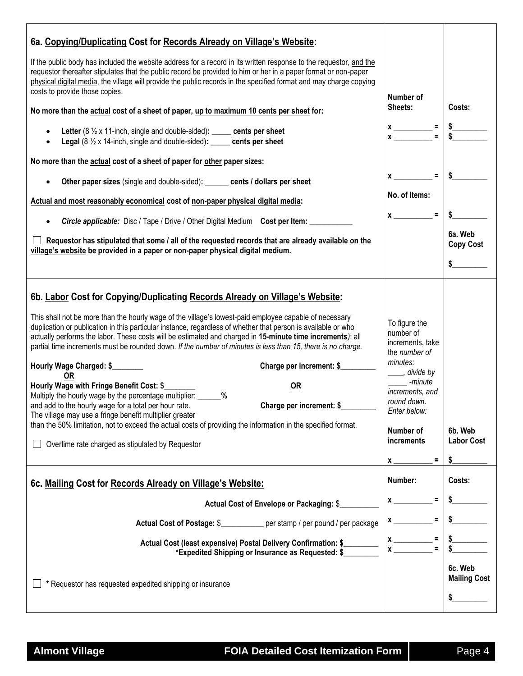| 6a. Copying/Duplicating Cost for Records Already on Village's Website:<br>If the public body has included the website address for a record in its written response to the requestor, and the<br>requestor thereafter stipulates that the public record be provided to him or her in a paper format or non-paper<br>physical digital media, the village will provide the public records in the specified format and may charge copying<br>costs to provide those copies.<br>No more than the actual cost of a sheet of paper, up to maximum 10 cents per sheet for:<br>Letter $(8 \frac{1}{2} \times 11$ -inch, single and double-sided): _____ cents per sheet<br><b>Legal</b> ( $8\frac{1}{2}$ x 14-inch, single and double-sided): _____ cents per sheet<br>No more than the actual cost of a sheet of paper for other paper sizes:<br>Other paper sizes (single and double-sided): ______ cents / dollars per sheet                                                                                                                             | Number of<br>Sheets:<br>$x \longrightarrow x$ = $\frac{1}{3}$<br>$=$<br>$x$ <sub>——</sub><br>No. of Items:                                                                                                                                                                                                                                                      | Costs:                             |
|----------------------------------------------------------------------------------------------------------------------------------------------------------------------------------------------------------------------------------------------------------------------------------------------------------------------------------------------------------------------------------------------------------------------------------------------------------------------------------------------------------------------------------------------------------------------------------------------------------------------------------------------------------------------------------------------------------------------------------------------------------------------------------------------------------------------------------------------------------------------------------------------------------------------------------------------------------------------------------------------------------------------------------------------------|-----------------------------------------------------------------------------------------------------------------------------------------------------------------------------------------------------------------------------------------------------------------------------------------------------------------------------------------------------------------|------------------------------------|
| Actual and most reasonably economical cost of non-paper physical digital media:<br><b>Circle applicable:</b> Disc / Tape / Drive / Other Digital Medium Cost per Item:<br>Requestor has stipulated that some / all of the requested records that are already available on the<br>village's website be provided in a paper or non-paper physical digital medium.                                                                                                                                                                                                                                                                                                                                                                                                                                                                                                                                                                                                                                                                                    | $x \sim$ =                                                                                                                                                                                                                                                                                                                                                      | 6a. Web<br><b>Copy Cost</b>        |
| 6b. Labor Cost for Copying/Duplicating Records Already on Village's Website:<br>This shall not be more than the hourly wage of the village's lowest-paid employee capable of necessary<br>duplication or publication in this particular instance, regardless of whether that person is available or who<br>actually performs the labor. These costs will be estimated and charged in 15-minute time increments); all<br>partial time increments must be rounded down. If the number of minutes is less than 15, there is no charge.<br>Hourly Wage Charged: \$<br>Charge per increment: \$<br>0R<br>Hourly Wage with Fringe Benefit Cost: \$<br><b>OR</b><br>Multiply the hourly wage by the percentage multiplier: _______ %<br>and add to the hourly wage for a total per hour rate.<br>Charge per increment: \$<br>The village may use a fringe benefit multiplier greater<br>than the 50% limitation, not to exceed the actual costs of providing the information in the specified format.<br>Overtime rate charged as stipulated by Requestor | To figure the<br>number of<br>increments, take<br>the number of<br>minutes:<br>____, divide by<br>-minute<br>increments, and<br>round down.<br>Enter below:<br>Number of<br>increments<br>Ξ<br><b>X</b>                                                                                                                                                         | 6b. Web<br><b>Labor Cost</b><br>\$ |
| 6c. Mailing Cost for Records Already on Village's Website:                                                                                                                                                                                                                                                                                                                                                                                                                                                                                                                                                                                                                                                                                                                                                                                                                                                                                                                                                                                         | Number:                                                                                                                                                                                                                                                                                                                                                         | Costs:                             |
| Actual Cost of Envelope or Packaging: \$<br>Actual Cost of Postage: \$___________ per stamp / per pound / per package<br>Actual Cost (least expensive) Postal Delivery Confirmation: \$<br>*Expedited Shipping or Insurance as Requested: \$<br>* Requestor has requested expedited shipping or insurance                                                                                                                                                                                                                                                                                                                                                                                                                                                                                                                                                                                                                                                                                                                                          | Ξ<br>$\mathbf x$ and $\mathbf x$ and $\mathbf x$ and $\mathbf x$ and $\mathbf x$ and $\mathbf x$ and $\mathbf x$ and $\mathbf x$ and $\mathbf x$ and $\mathbf x$ and $\mathbf x$ and $\mathbf x$ and $\mathbf x$ and $\mathbf x$ and $\mathbf x$ and $\mathbf x$ and $\mathbf x$ and $\mathbf x$ and $\mathbf x$ and $\mathbf x$ and<br>$=$<br>$\boldsymbol{x}$ | 6c. Web<br><b>Mailing Cost</b>     |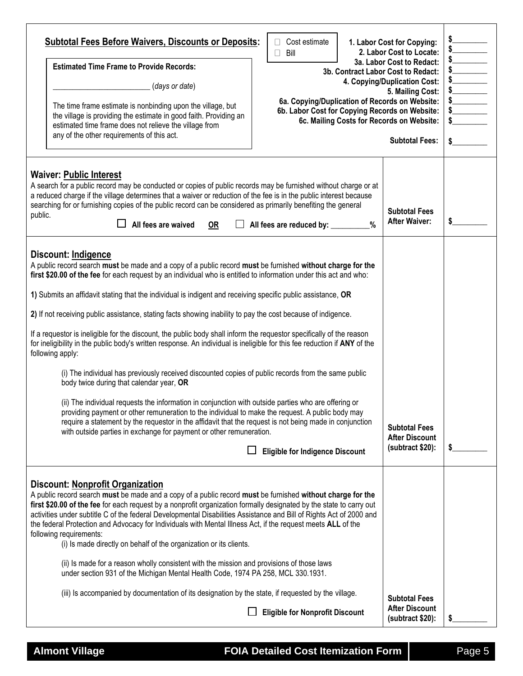| <b>Subtotal Fees Before Waivers, Discounts or Deposits:</b><br>Cost estimate<br>Bill<br>$\Box$<br><b>Estimated Time Frame to Provide Records:</b><br>3b. Contract Labor Cost to Redact:<br>(days or date)<br>6a. Copying/Duplication of Records on Website:<br>The time frame estimate is nonbinding upon the village, but<br>6b. Labor Cost for Copying Records on Website:<br>the village is providing the estimate in good faith. Providing an<br>6c. Mailing Costs for Records on Website:<br>estimated time frame does not relieve the village from<br>any of the other requirements of this act.                                                                                                                                                                                                                                                                                                                                                                                                                                                                                                                                                                                                                                                                                                                                                     | 1. Labor Cost for Copying:<br>2. Labor Cost to Locate:<br>3a. Labor Cost to Redact:<br>4. Copying/Duplication Cost:<br>5. Mailing Cost:<br><b>Subtotal Fees:</b> | $\frac{1}{2}$<br>$\frac{1}{2}$<br>$\frac{1}{2}$<br>$\frac{1}{2}$<br>$\frac{1}{2}$<br>$\frac{1}{2}$ |
|------------------------------------------------------------------------------------------------------------------------------------------------------------------------------------------------------------------------------------------------------------------------------------------------------------------------------------------------------------------------------------------------------------------------------------------------------------------------------------------------------------------------------------------------------------------------------------------------------------------------------------------------------------------------------------------------------------------------------------------------------------------------------------------------------------------------------------------------------------------------------------------------------------------------------------------------------------------------------------------------------------------------------------------------------------------------------------------------------------------------------------------------------------------------------------------------------------------------------------------------------------------------------------------------------------------------------------------------------------|------------------------------------------------------------------------------------------------------------------------------------------------------------------|----------------------------------------------------------------------------------------------------|
| <b>Waiver: Public Interest</b><br>A search for a public record may be conducted or copies of public records may be furnished without charge or at<br>a reduced charge if the village determines that a waiver or reduction of the fee is in the public interest because<br>searching for or furnishing copies of the public record can be considered as primarily benefiting the general<br>public.<br>All fees are waived<br><b>OR</b><br>All fees are reduced by: _________%                                                                                                                                                                                                                                                                                                                                                                                                                                                                                                                                                                                                                                                                                                                                                                                                                                                                             | <b>Subtotal Fees</b><br><b>After Waiver:</b>                                                                                                                     | \$                                                                                                 |
| Discount: Indigence<br>A public record search must be made and a copy of a public record must be furnished without charge for the<br>first \$20.00 of the fee for each request by an individual who is entitled to information under this act and who:<br>1) Submits an affidavit stating that the individual is indigent and receiving specific public assistance, OR<br>2) If not receiving public assistance, stating facts showing inability to pay the cost because of indigence.<br>If a requestor is ineligible for the discount, the public body shall inform the requestor specifically of the reason<br>for ineligibility in the public body's written response. An individual is ineligible for this fee reduction if ANY of the<br>following apply:<br>(i) The individual has previously received discounted copies of public records from the same public<br>body twice during that calendar year, OR<br>(ii) The individual requests the information in conjunction with outside parties who are offering or<br>providing payment or other remuneration to the individual to make the request. A public body may<br>require a statement by the requestor in the affidavit that the request is not being made in conjunction<br>with outside parties in exchange for payment or other remuneration.<br><b>Eligible for Indigence Discount</b> | <b>Subtotal Fees</b><br><b>After Discount</b><br>(subtract \$20):                                                                                                | \$                                                                                                 |
| <b>Discount: Nonprofit Organization</b><br>A public record search must be made and a copy of a public record must be furnished without charge for the<br>first \$20.00 of the fee for each request by a nonprofit organization formally designated by the state to carry out<br>activities under subtitle C of the federal Developmental Disabilities Assistance and Bill of Rights Act of 2000 and<br>the federal Protection and Advocacy for Individuals with Mental Illness Act, if the request meets ALL of the<br>following requirements:<br>(i) Is made directly on behalf of the organization or its clients.<br>(ii) Is made for a reason wholly consistent with the mission and provisions of those laws<br>under section 931 of the Michigan Mental Health Code, 1974 PA 258, MCL 330.1931.<br>(iii) Is accompanied by documentation of its designation by the state, if requested by the village.<br><b>Eligible for Nonprofit Discount</b>                                                                                                                                                                                                                                                                                                                                                                                                     | <b>Subtotal Fees</b><br><b>After Discount</b><br>(subtract \$20):                                                                                                |                                                                                                    |